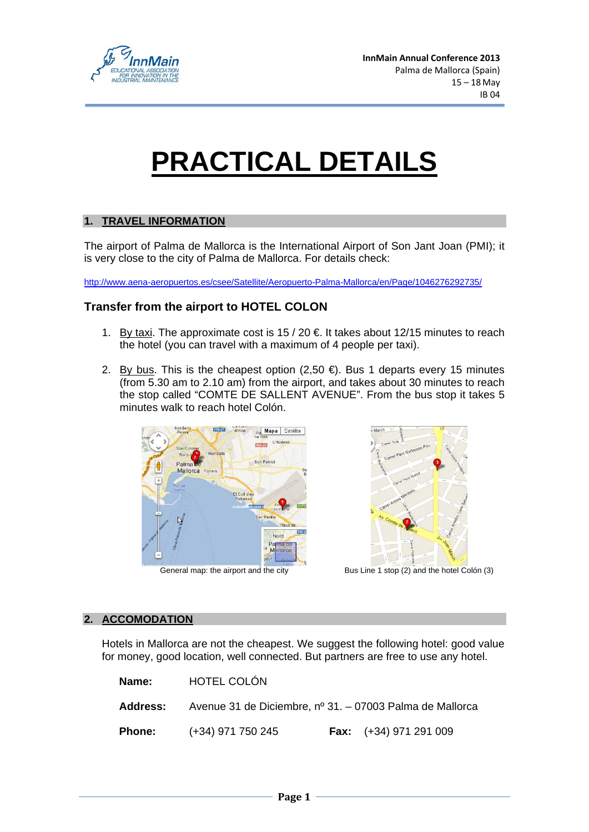

# **PRACTICAL DETAILS**

### **1. TRAVEL INFORMATION**

The airport of Palma de Mallorca is the International Airport of Son Jant Joan (PMI); it is very close to the city of Palma de Mallorca. For details check:

http://www.aena-aeropuertos.es/csee/Satellite/Aeropuerto-Palma-Mallorca/en/Page/1046276292735/

### **Transfer from the airport to HOTEL COLON**

- 1. By taxi. The approximate cost is  $15/20 \in \mathbb{R}$  It takes about 12/15 minutes to reach the hotel (you can travel with a maximum of 4 people per taxi).
- 2. By bus. This is the cheapest option  $(2,50 \in )$ . Bus 1 departs every 15 minutes (from 5.30 am to 2.10 am) from the airport, and takes about 30 minutes to reach the stop called "COMTE DE SALLENT AVENUE". From the bus stop it takes 5 minutes walk to reach hotel Colón.



#### **2. ACCOMODATION**

Hotels in Mallorca are not the cheapest. We suggest the following hotel: good value for money, good location, well connected. But partners are free to use any hotel.

| Name:         | HOTEL COLÓN                                                              |                                 |
|---------------|--------------------------------------------------------------------------|---------------------------------|
|               | <b>Address:</b> Avenue 31 de Diciembre, nº 31. – 07003 Palma de Mallorca |                                 |
| <b>Phone:</b> | $(+34)$ 971 750 245                                                      | <b>Fax:</b> $(+34)$ 971 291 009 |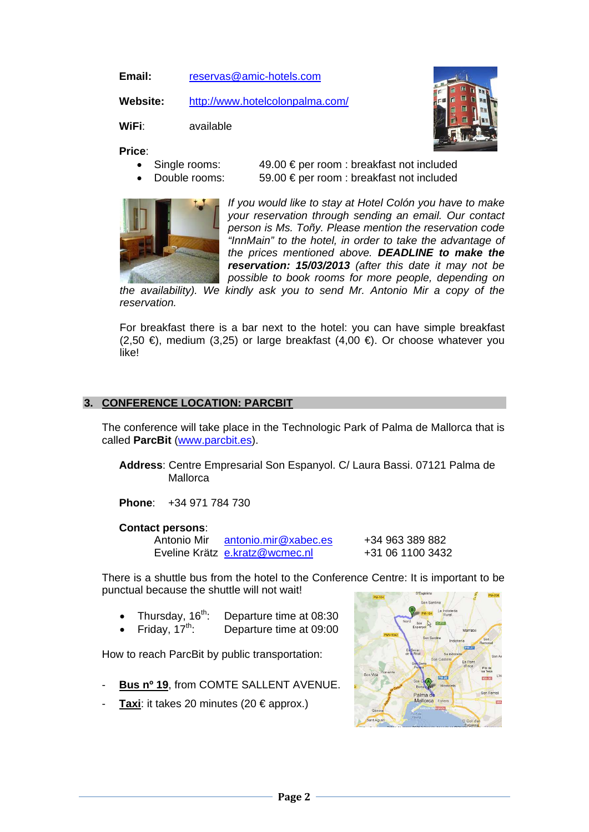**Email:** reservas@amic-hotels.com

**Website:** http://www.hotelcolonpalma.com/

**WiFi**: available

**Price**:

- 
- 

• Single rooms:  $49.00 \in \text{per room}$ : breakfast not included • Double rooms: 59.00 € per room : breakfast not included



*If you would like to stay at Hotel Colón you have to make your reservation through sending an email. Our contact person is Ms. Toñy. Please mention the reservation code "InnMain" to the hotel, in order to take the advantage of the prices mentioned above. DEADLINE to make the reservation: 15/03/2013 (after this date it may not be possible to book rooms for more people, depending on* 

*the availability). We kindly ask you to send Mr. Antonio Mir a copy of the reservation.* 

For breakfast there is a bar next to the hotel: you can have simple breakfast (2,50 €), medium (3,25) or large breakfast (4,00 €). Or choose whatever you like!

### **3. CONFERENCE LOCATION: PARCBIT**

The conference will take place in the Technologic Park of Palma de Mallorca that is called **ParcBit** (www.parcbit.es).

**Address**: Centre Empresarial Son Espanyol. C/ Laura Bassi. 07121 Palma de Mallorca

**Phone**: +34 971 784 730

#### **Contact persons**:

Antonio Mir antonio.mir@xabec.es +34 963 389 882 Eveline Krätz e.kratz@wcmec.nl +31 06 1100 3432

There is a shuttle bus from the hotel to the Conference Centre: It is important to be punctual because the shuttle will not wait!

- Thursday,  $16<sup>th</sup>$ : Departure time at 08:30
- Friday,  $17<sup>th</sup>$ : Departure time at 09:00

How to reach ParcBit by public transportation:

- **Bus nº 19, from COMTE SALLENT AVENUE.**
- **Taxi:** it takes 20 minutes (20  $\epsilon$  approx.)